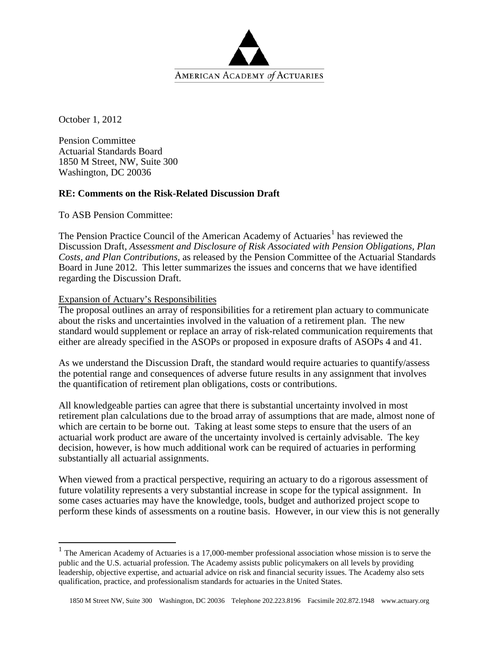

October 1, 2012

Pension Committee Actuarial Standards Board 1850 M Street, NW, Suite 300 Washington, DC 20036

# **RE: Comments on the Risk-Related Discussion Draft**

To ASB Pension Committee:

The Pension Practice Council of the American Academy of Actuaries<sup>[1](#page-0-0)</sup> has reviewed the Discussion Draft, *Assessment and Disclosure of Risk Associated with Pension Obligations, Plan Costs, and Plan Contributions,* as released by the Pension Committee of the Actuarial Standards Board in June 2012. This letter summarizes the issues and concerns that we have identified regarding the Discussion Draft.

#### Expansion of Actuary's Responsibilities

The proposal outlines an array of responsibilities for a retirement plan actuary to communicate about the risks and uncertainties involved in the valuation of a retirement plan. The new standard would supplement or replace an array of risk-related communication requirements that either are already specified in the ASOPs or proposed in exposure drafts of ASOPs 4 and 41.

As we understand the Discussion Draft, the standard would require actuaries to quantify/assess the potential range and consequences of adverse future results in any assignment that involves the quantification of retirement plan obligations, costs or contributions.

All knowledgeable parties can agree that there is substantial uncertainty involved in most retirement plan calculations due to the broad array of assumptions that are made, almost none of which are certain to be borne out. Taking at least some steps to ensure that the users of an actuarial work product are aware of the uncertainty involved is certainly advisable. The key decision, however, is how much additional work can be required of actuaries in performing substantially all actuarial assignments.

When viewed from a practical perspective, requiring an actuary to do a rigorous assessment of future volatility represents a very substantial increase in scope for the typical assignment. In some cases actuaries may have the knowledge, tools, budget and authorized project scope to perform these kinds of assessments on a routine basis. However, in our view this is not generally

<span id="page-0-0"></span> $1$  The American Academy of Actuaries is a 17,000-member professional association whose mission is to serve the public and the U.S. actuarial profession. The Academy assists public policymakers on all levels by providing leadership, objective expertise, and actuarial advice on risk and financial security issues. The Academy also sets qualification, practice, and professionalism standards for actuaries in the United States.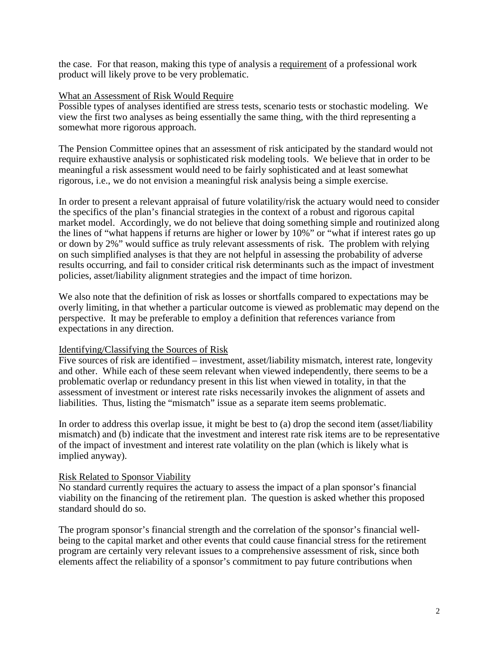the case. For that reason, making this type of analysis a requirement of a professional work product will likely prove to be very problematic.

### What an Assessment of Risk Would Require

Possible types of analyses identified are stress tests, scenario tests or stochastic modeling. We view the first two analyses as being essentially the same thing, with the third representing a somewhat more rigorous approach.

The Pension Committee opines that an assessment of risk anticipated by the standard would not require exhaustive analysis or sophisticated risk modeling tools. We believe that in order to be meaningful a risk assessment would need to be fairly sophisticated and at least somewhat rigorous, i.e., we do not envision a meaningful risk analysis being a simple exercise.

In order to present a relevant appraisal of future volatility/risk the actuary would need to consider the specifics of the plan's financial strategies in the context of a robust and rigorous capital market model. Accordingly, we do not believe that doing something simple and routinized along the lines of "what happens if returns are higher or lower by 10%" or "what if interest rates go up or down by 2%" would suffice as truly relevant assessments of risk. The problem with relying on such simplified analyses is that they are not helpful in assessing the probability of adverse results occurring, and fail to consider critical risk determinants such as the impact of investment policies, asset/liability alignment strategies and the impact of time horizon.

We also note that the definition of risk as losses or shortfalls compared to expectations may be overly limiting, in that whether a particular outcome is viewed as problematic may depend on the perspective. It may be preferable to employ a definition that references variance from expectations in any direction.

# Identifying/Classifying the Sources of Risk

Five sources of risk are identified – investment, asset/liability mismatch, interest rate, longevity and other. While each of these seem relevant when viewed independently, there seems to be a problematic overlap or redundancy present in this list when viewed in totality, in that the assessment of investment or interest rate risks necessarily invokes the alignment of assets and liabilities. Thus, listing the "mismatch" issue as a separate item seems problematic.

In order to address this overlap issue, it might be best to (a) drop the second item (asset/liability mismatch) and (b) indicate that the investment and interest rate risk items are to be representative of the impact of investment and interest rate volatility on the plan (which is likely what is implied anyway).

# Risk Related to Sponsor Viability

No standard currently requires the actuary to assess the impact of a plan sponsor's financial viability on the financing of the retirement plan. The question is asked whether this proposed standard should do so.

The program sponsor's financial strength and the correlation of the sponsor's financial wellbeing to the capital market and other events that could cause financial stress for the retirement program are certainly very relevant issues to a comprehensive assessment of risk, since both elements affect the reliability of a sponsor's commitment to pay future contributions when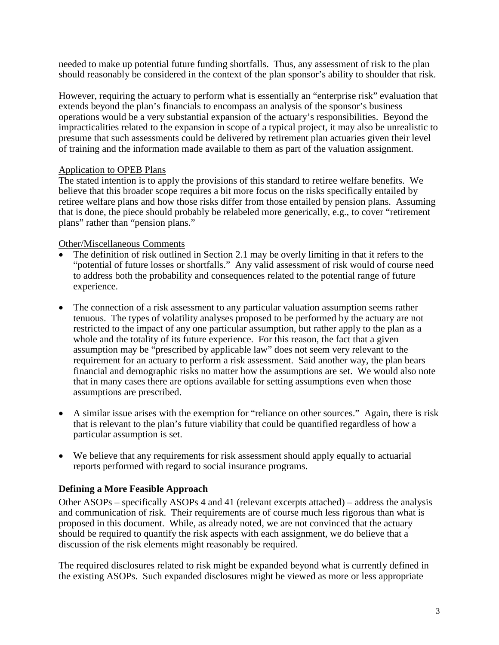needed to make up potential future funding shortfalls. Thus, any assessment of risk to the plan should reasonably be considered in the context of the plan sponsor's ability to shoulder that risk.

However, requiring the actuary to perform what is essentially an "enterprise risk" evaluation that extends beyond the plan's financials to encompass an analysis of the sponsor's business operations would be a very substantial expansion of the actuary's responsibilities. Beyond the impracticalities related to the expansion in scope of a typical project, it may also be unrealistic to presume that such assessments could be delivered by retirement plan actuaries given their level of training and the information made available to them as part of the valuation assignment.

# Application to OPEB Plans

The stated intention is to apply the provisions of this standard to retiree welfare benefits. We believe that this broader scope requires a bit more focus on the risks specifically entailed by retiree welfare plans and how those risks differ from those entailed by pension plans. Assuming that is done, the piece should probably be relabeled more generically, e.g., to cover "retirement plans" rather than "pension plans."

# Other/Miscellaneous Comments

- The definition of risk outlined in Section 2.1 may be overly limiting in that it refers to the "potential of future losses or shortfalls." Any valid assessment of risk would of course need to address both the probability and consequences related to the potential range of future experience.
- The connection of a risk assessment to any particular valuation assumption seems rather tenuous. The types of volatility analyses proposed to be performed by the actuary are not restricted to the impact of any one particular assumption, but rather apply to the plan as a whole and the totality of its future experience. For this reason, the fact that a given assumption may be "prescribed by applicable law" does not seem very relevant to the requirement for an actuary to perform a risk assessment. Said another way, the plan bears financial and demographic risks no matter how the assumptions are set. We would also note that in many cases there are options available for setting assumptions even when those assumptions are prescribed.
- A similar issue arises with the exemption for "reliance on other sources." Again, there is risk that is relevant to the plan's future viability that could be quantified regardless of how a particular assumption is set.
- We believe that any requirements for risk assessment should apply equally to actuarial reports performed with regard to social insurance programs.

# **Defining a More Feasible Approach**

Other ASOPs – specifically ASOPs 4 and 41 (relevant excerpts attached) – address the analysis and communication of risk. Their requirements are of course much less rigorous than what is proposed in this document. While, as already noted, we are not convinced that the actuary should be required to quantify the risk aspects with each assignment, we do believe that a discussion of the risk elements might reasonably be required.

The required disclosures related to risk might be expanded beyond what is currently defined in the existing ASOPs. Such expanded disclosures might be viewed as more or less appropriate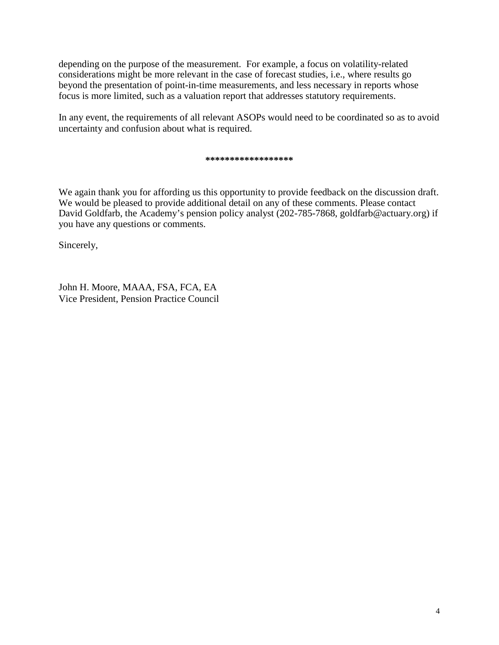depending on the purpose of the measurement. For example, a focus on volatility-related considerations might be more relevant in the case of forecast studies, i.e., where results go beyond the presentation of point-in-time measurements, and less necessary in reports whose focus is more limited, such as a valuation report that addresses statutory requirements.

In any event, the requirements of all relevant ASOPs would need to be coordinated so as to avoid uncertainty and confusion about what is required.

#### **\*\*\*\*\*\*\*\*\*\*\*\*\*\*\*\*\*\***

We again thank you for affording us this opportunity to provide feedback on the discussion draft. We would be pleased to provide additional detail on any of these comments. Please contact David Goldfarb, the Academy's pension policy analyst (202-785-7868, goldfarb@actuary.org) if you have any questions or comments.

Sincerely,

John H. Moore, MAAA, FSA, FCA, EA Vice President, Pension Practice Council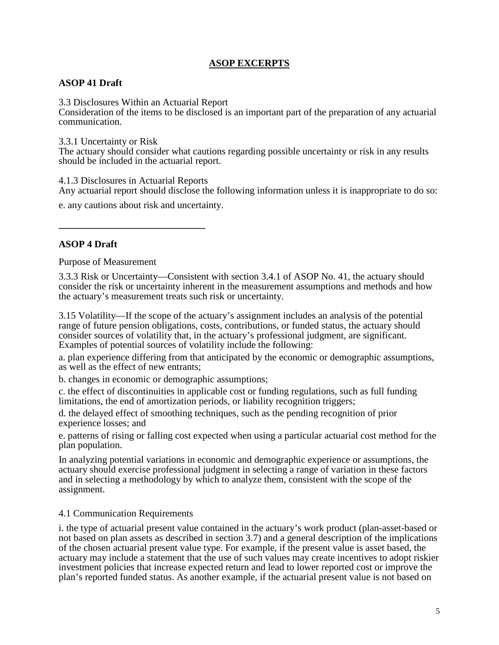# **ASOP EXCERPTS**

# **ASOP 41 Draft**

3.3 Disclosures Within an Actuarial Report

Consideration of the items to be disclosed is an important part of the preparation of any actuarial communication.

3.3.1 Uncertainty or Risk

The actuary should consider what cautions regarding possible uncertainty or risk in any results should be included in the actuarial report.

4.1.3 Disclosures in Actuarial Reports

**\_\_\_\_\_\_\_\_\_\_\_\_\_\_\_\_\_\_\_\_\_\_\_\_\_\_\_\_\_\_**

Any actuarial report should disclose the following information unless it is inappropriate to do so:

e. any cautions about risk and uncertainty.

# **ASOP 4 Draft**

Purpose of Measurement

3.3.3 Risk or Uncertainty—Consistent with section 3.4.1 of ASOP No. 41, the actuary should consider the risk or uncertainty inherent in the measurement assumptions and methods and how the actuary's measurement treats such risk or uncertainty.

3.15 Volatility—If the scope of the actuary's assignment includes an analysis of the potential range of future pension obligations, costs, contributions, or funded status, the actuary should consider sources of volatility that, in the actuary's professional judgment, are significant. Examples of potential sources of volatility include the following:

a. plan experience differing from that anticipated by the economic or demographic assumptions, as well as the effect of new entrants;

b. changes in economic or demographic assumptions;

c. the effect of discontinuities in applicable cost or funding regulations, such as full funding limitations, the end of amortization periods, or liability recognition triggers;

d. the delayed effect of smoothing techniques, such as the pending recognition of prior experience losses; and

e. patterns of rising or falling cost expected when using a particular actuarial cost method for the plan population.

In analyzing potential variations in economic and demographic experience or assumptions, the actuary should exercise professional judgment in selecting a range of variation in these factors and in selecting a methodology by which to analyze them, consistent with the scope of the assignment.

#### 4.1 Communication Requirements

i. the type of actuarial present value contained in the actuary's work product (plan-asset-based or not based on plan assets as described in section 3.7) and a general description of the implications of the chosen actuarial present value type. For example, if the present value is asset based, the actuary may include a statement that the use of such values may create incentives to adopt riskier investment policies that increase expected return and lead to lower reported cost or improve the plan's reported funded status. As another example, if the actuarial present value is not based on